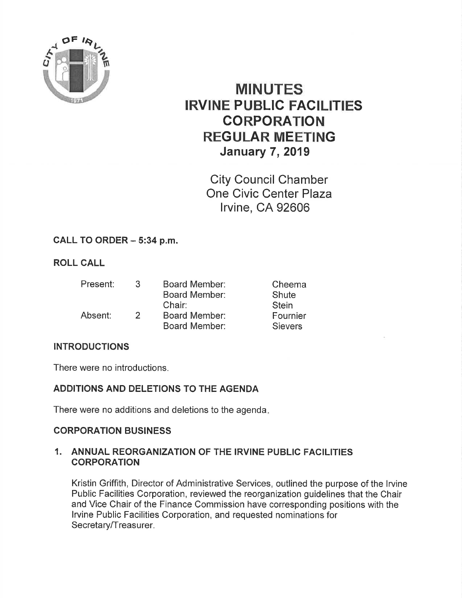

# MINUTES IRVINE PUBLIC FACILITIES CORPORATION REGULAR MEETING **January 7, 2019**

City Council Chamber One Civic Center Plaza lrvine, CA 92606

# CALL TO ORDER - 5:34 p.m.

# ROLL CALL

| Present: | 3. | Board Member:<br><b>Board Member:</b> | Cheema<br>Shute |
|----------|----|---------------------------------------|-----------------|
|          |    | Chair:                                | <b>Stein</b>    |
| Absent:  | 2  | Board Member:                         | Fournier        |
|          |    | Board Member:                         | <b>Sievers</b>  |

## INTRODUCTIONS

There were no introductions.

## ADDITIONS AND DELETIONS TO THE AGENDA

There were no additions and deletions to the agenda

## CORPORATION BUSINESS

#### 1. ANNUAL REORGANIZATION OF THE IRVINE PUBLIC FACILITIES **CORPORATION**

Kristin Griffith, Director of Administrative Services, outlined the purpose of the lrvine Public Facilities Corporation, reviewed the reorganization guidelines that the Chair and Vice Chair of the Finance Commission have corresponding positions with the lrvine Public Facilities Corporation, and requested nominations for Secretary/Treasurer.